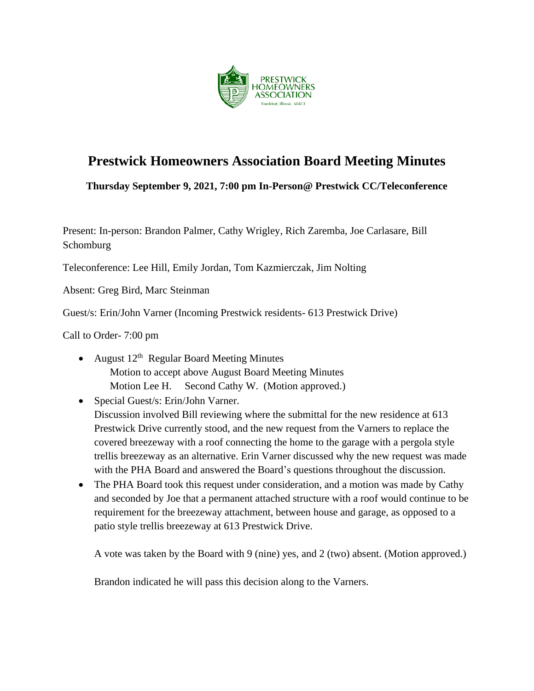

# **Prestwick Homeowners Association Board Meeting Minutes**

**Thursday September 9, 2021, 7:00 pm In-Person@ Prestwick CC/Teleconference**

Present: In-person: Brandon Palmer, Cathy Wrigley, Rich Zaremba, Joe Carlasare, Bill Schomburg

Teleconference: Lee Hill, Emily Jordan, Tom Kazmierczak, Jim Nolting

Absent: Greg Bird, Marc Steinman

Guest/s: Erin/John Varner (Incoming Prestwick residents- 613 Prestwick Drive)

Call to Order- 7:00 pm

- August  $12^{th}$  Regular Board Meeting Minutes Motion to accept above August Board Meeting Minutes Motion Lee H. Second Cathy W. (Motion approved.)
- Special Guest/s: Erin/John Varner. Discussion involved Bill reviewing where the submittal for the new residence at 613 Prestwick Drive currently stood, and the new request from the Varners to replace the covered breezeway with a roof connecting the home to the garage with a pergola style trellis breezeway as an alternative. Erin Varner discussed why the new request was made with the PHA Board and answered the Board's questions throughout the discussion.
- The PHA Board took this request under consideration, and a motion was made by Cathy and seconded by Joe that a permanent attached structure with a roof would continue to be requirement for the breezeway attachment, between house and garage, as opposed to a patio style trellis breezeway at 613 Prestwick Drive.

A vote was taken by the Board with 9 (nine) yes, and 2 (two) absent. (Motion approved.)

Brandon indicated he will pass this decision along to the Varners.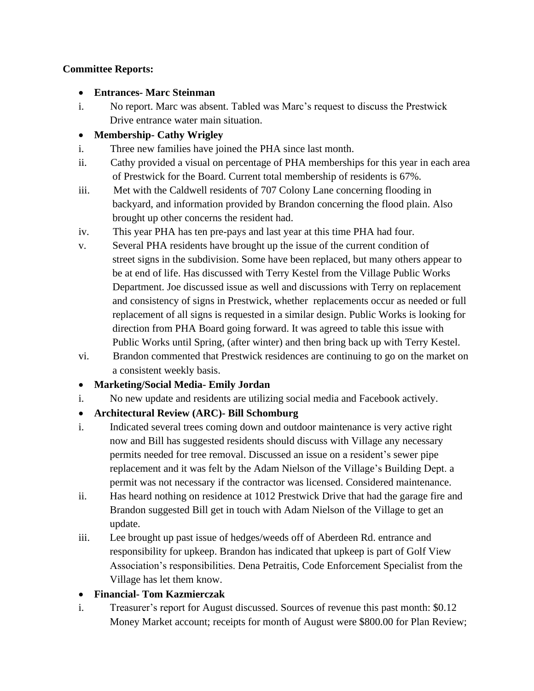#### **Committee Reports:**

- **Entrances- Marc Steinman**
- i. No report. Marc was absent. Tabled was Marc's request to discuss the Prestwick Drive entrance water main situation.

## • **Membership- Cathy Wrigley**

- i. Three new families have joined the PHA since last month.
- ii. Cathy provided a visual on percentage of PHA memberships for this year in each area of Prestwick for the Board. Current total membership of residents is 67%.
- iii. Met with the Caldwell residents of 707 Colony Lane concerning flooding in backyard, and information provided by Brandon concerning the flood plain. Also brought up other concerns the resident had.
- iv. This year PHA has ten pre-pays and last year at this time PHA had four.
- v. Several PHA residents have brought up the issue of the current condition of street signs in the subdivision. Some have been replaced, but many others appear to be at end of life. Has discussed with Terry Kestel from the Village Public Works Department. Joe discussed issue as well and discussions with Terry on replacement and consistency of signs in Prestwick, whether replacements occur as needed or full replacement of all signs is requested in a similar design. Public Works is looking for direction from PHA Board going forward. It was agreed to table this issue with Public Works until Spring, (after winter) and then bring back up with Terry Kestel.
- vi. Brandon commented that Prestwick residences are continuing to go on the market on a consistent weekly basis.
- **Marketing/Social Media- Emily Jordan**
- i. No new update and residents are utilizing social media and Facebook actively.

### • **Architectural Review (ARC)- Bill Schomburg**

- i. Indicated several trees coming down and outdoor maintenance is very active right now and Bill has suggested residents should discuss with Village any necessary permits needed for tree removal. Discussed an issue on a resident's sewer pipe replacement and it was felt by the Adam Nielson of the Village's Building Dept. a permit was not necessary if the contractor was licensed. Considered maintenance.
- ii. Has heard nothing on residence at 1012 Prestwick Drive that had the garage fire and Brandon suggested Bill get in touch with Adam Nielson of the Village to get an update.
- iii. Lee brought up past issue of hedges/weeds off of Aberdeen Rd. entrance and responsibility for upkeep. Brandon has indicated that upkeep is part of Golf View Association's responsibilities. Dena Petraitis, Code Enforcement Specialist from the Village has let them know.

### • **Financial- Tom Kazmierczak**

i. Treasurer's report for August discussed. Sources of revenue this past month: \$0.12 Money Market account; receipts for month of August were \$800.00 for Plan Review;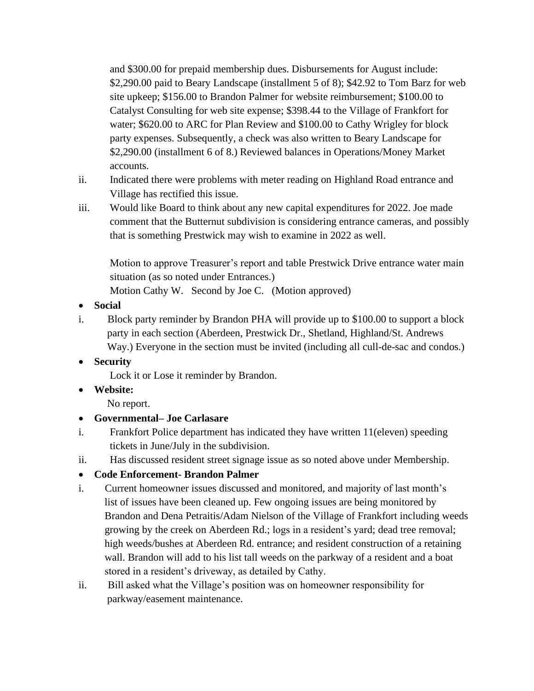and \$300.00 for prepaid membership dues. Disbursements for August include: \$2,290.00 paid to Beary Landscape (installment 5 of 8); \$42.92 to Tom Barz for web site upkeep; \$156.00 to Brandon Palmer for website reimbursement; \$100.00 to Catalyst Consulting for web site expense; \$398.44 to the Village of Frankfort for water; \$620.00 to ARC for Plan Review and \$100.00 to Cathy Wrigley for block party expenses. Subsequently, a check was also written to Beary Landscape for \$2,290.00 (installment 6 of 8.) Reviewed balances in Operations/Money Market accounts.

- ii. Indicated there were problems with meter reading on Highland Road entrance and Village has rectified this issue.
- iii. Would like Board to think about any new capital expenditures for 2022. Joe made comment that the Butternut subdivision is considering entrance cameras, and possibly that is something Prestwick may wish to examine in 2022 as well.

Motion to approve Treasurer's report and table Prestwick Drive entrance water main situation (as so noted under Entrances.)

Motion Cathy W. Second by Joe C. (Motion approved)

- **Social**
- i. Block party reminder by Brandon PHA will provide up to \$100.00 to support a block party in each section (Aberdeen, Prestwick Dr., Shetland, Highland/St. Andrews Way.) Everyone in the section must be invited (including all cull-de-sac and condos.)
- **Security**

Lock it or Lose it reminder by Brandon.

• **Website:**

No report.

- **Governmental– Joe Carlasare**
- i. Frankfort Police department has indicated they have written 11(eleven) speeding tickets in June/July in the subdivision.
- ii. Has discussed resident street signage issue as so noted above under Membership.

### • **Code Enforcement- Brandon Palmer**

- i.Current homeowner issues discussed and monitored, and majority of last month's list of issues have been cleaned up. Few ongoing issues are being monitored by Brandon and Dena Petraitis/Adam Nielson of the Village of Frankfort including weeds growing by the creek on Aberdeen Rd.; logs in a resident's yard; dead tree removal; high weeds/bushes at Aberdeen Rd. entrance; and resident construction of a retaining wall. Brandon will add to his list tall weeds on the parkway of a resident and a boat stored in a resident's driveway, as detailed by Cathy.
- ii. Bill asked what the Village's position was on homeowner responsibility for parkway/easement maintenance.